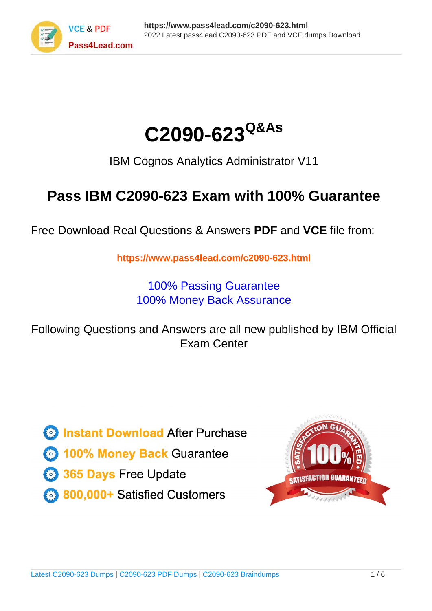



IBM Cognos Analytics Administrator V11

# **Pass IBM C2090-623 Exam with 100% Guarantee**

Free Download Real Questions & Answers **PDF** and **VCE** file from:

**https://www.pass4lead.com/c2090-623.html**

100% Passing Guarantee 100% Money Back Assurance

Following Questions and Answers are all new published by IBM Official Exam Center

**C** Instant Download After Purchase

**83 100% Money Back Guarantee** 

- 365 Days Free Update
- 800,000+ Satisfied Customers  $603$

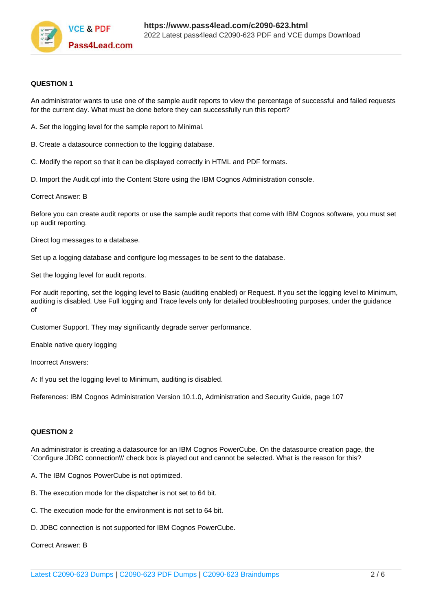

#### **QUESTION 1**

An administrator wants to use one of the sample audit reports to view the percentage of successful and failed requests for the current day. What must be done before they can successfully run this report?

- A. Set the logging level for the sample report to Minimal.
- B. Create a datasource connection to the logging database.
- C. Modify the report so that it can be displayed correctly in HTML and PDF formats.
- D. Import the Audit.cpf into the Content Store using the IBM Cognos Administration console.

Correct Answer: B

Before you can create audit reports or use the sample audit reports that come with IBM Cognos software, you must set up audit reporting.

Direct log messages to a database.

Set up a logging database and configure log messages to be sent to the database.

Set the logging level for audit reports.

For audit reporting, set the logging level to Basic (auditing enabled) or Request. If you set the logging level to Minimum, auditing is disabled. Use Full logging and Trace levels only for detailed troubleshooting purposes, under the guidance of

Customer Support. They may significantly degrade server performance.

Enable native query logging

Incorrect Answers:

A: If you set the logging level to Minimum, auditing is disabled.

References: IBM Cognos Administration Version 10.1.0, Administration and Security Guide, page 107

### **QUESTION 2**

An administrator is creating a datasource for an IBM Cognos PowerCube. On the datasource creation page, the `Configure JDBC connection\\' check box is played out and cannot be selected. What is the reason for this?

- A. The IBM Cognos PowerCube is not optimized.
- B. The execution mode for the dispatcher is not set to 64 bit.
- C. The execution mode for the environment is not set to 64 bit.
- D. JDBC connection is not supported for IBM Cognos PowerCube.

Correct Answer: B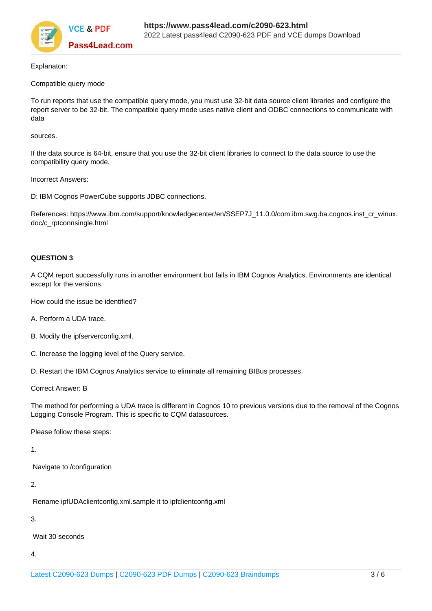

Explanaton:

#### Compatible query mode

To run reports that use the compatible query mode, you must use 32-bit data source client libraries and configure the report server to be 32-bit. The compatible query mode uses native client and ODBC connections to communicate with data

#### sources.

If the data source is 64-bit, ensure that you use the 32-bit client libraries to connect to the data source to use the compatibility query mode.

Incorrect Answers:

D: IBM Cognos PowerCube supports JDBC connections.

References: https://www.ibm.com/support/knowledgecenter/en/SSEP7J\_11.0.0/com.ibm.swg.ba.cognos.inst\_cr\_winux. doc/c\_rptconnsingle.html

### **QUESTION 3**

A CQM report successfully runs in another environment but fails in IBM Cognos Analytics. Environments are identical except for the versions.

How could the issue be identified?

- A. Perform a UDA trace.
- B. Modify the ipfserverconfig.xml.
- C. Increase the logging level of the Query service.

D. Restart the IBM Cognos Analytics service to eliminate all remaining BIBus processes.

Correct Answer: B

The method for performing a UDA trace is different in Cognos 10 to previous versions due to the removal of the Cognos Logging Console Program. This is specific to CQM datasources.

Please follow these steps:

1.

Navigate to /configuration

### 2.

Rename ipfUDAclientconfig.xml.sample it to ipfclientconfig.xml

3.

Wait 30 seconds

4.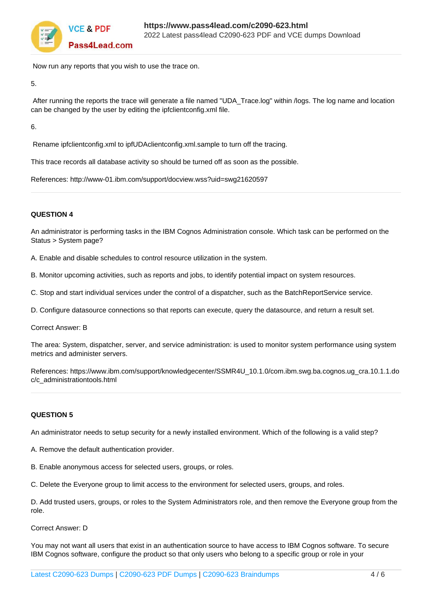

Now run any reports that you wish to use the trace on.

5.

After running the reports the trace will generate a file named "UDA\_Trace.log" within /logs. The log name and location can be changed by the user by editing the ipfclientconfig.xml file.

6.

Rename ipfclientconfig.xml to ipfUDAclientconfig.xml.sample to turn off the tracing.

This trace records all database activity so should be turned off as soon as the possible.

References: http://www-01.ibm.com/support/docview.wss?uid=swg21620597

## **QUESTION 4**

An administrator is performing tasks in the IBM Cognos Administration console. Which task can be performed on the Status > System page?

A. Enable and disable schedules to control resource utilization in the system.

B. Monitor upcoming activities, such as reports and jobs, to identify potential impact on system resources.

C. Stop and start individual services under the control of a dispatcher, such as the BatchReportService service.

D. Configure datasource connections so that reports can execute, query the datasource, and return a result set.

Correct Answer: B

The area: System, dispatcher, server, and service administration: is used to monitor system performance using system metrics and administer servers.

References: https://www.ibm.com/support/knowledgecenter/SSMR4U\_10.1.0/com.ibm.swg.ba.cognos.ug\_cra.10.1.1.do c/c\_administrationtools.html

#### **QUESTION 5**

An administrator needs to setup security for a newly installed environment. Which of the following is a valid step?

- A. Remove the default authentication provider.
- B. Enable anonymous access for selected users, groups, or roles.

C. Delete the Everyone group to limit access to the environment for selected users, groups, and roles.

D. Add trusted users, groups, or roles to the System Administrators role, and then remove the Everyone group from the role.

Correct Answer: D

You may not want all users that exist in an authentication source to have access to IBM Cognos software. To secure IBM Cognos software, configure the product so that only users who belong to a specific group or role in your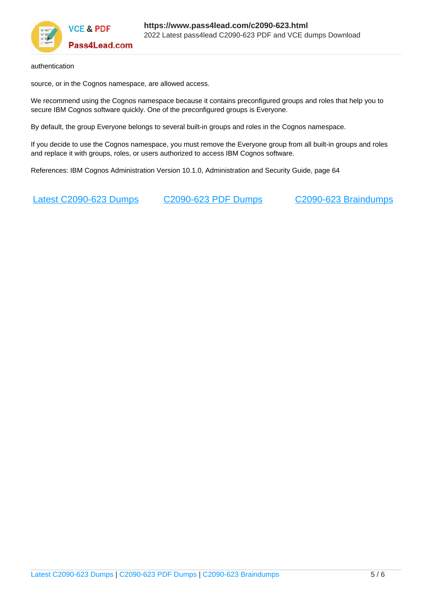

authentication

source, or in the Cognos namespace, are allowed access.

We recommend using the Cognos namespace because it contains preconfigured groups and roles that help you to secure IBM Cognos software quickly. One of the preconfigured groups is Everyone.

By default, the group Everyone belongs to several built-in groups and roles in the Cognos namespace.

If you decide to use the Cognos namespace, you must remove the Everyone group from all built-in groups and roles and replace it with groups, roles, or users authorized to access IBM Cognos software.

References: IBM Cognos Administration Version 10.1.0, Administration and Security Guide, page 64

[Latest C2090-623 Dumps](https://www.pass4lead.com/c2090-623.html) [C2090-623 PDF Dumps](https://www.pass4lead.com/c2090-623.html) [C2090-623 Braindumps](https://www.pass4lead.com/c2090-623.html)